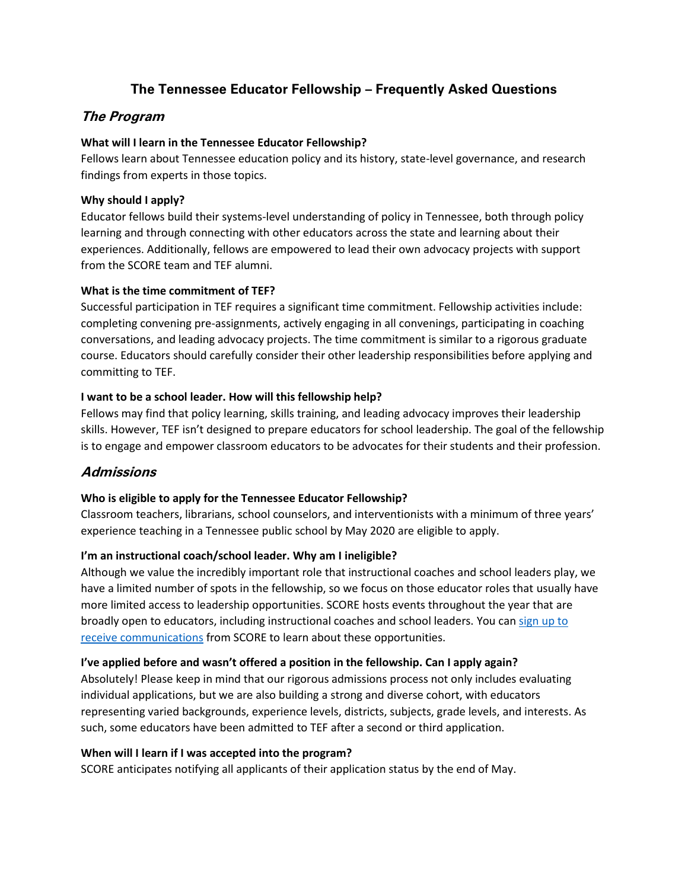# **The Tennessee Educator Fellowship – Frequently Asked Questions**

# **The Program**

# **What will I learn in the Tennessee Educator Fellowship?**

Fellows learn about Tennessee education policy and its history, state-level governance, and research findings from experts in those topics.

## **Why should I apply?**

Educator fellows build their systems-level understanding of policy in Tennessee, both through policy learning and through connecting with other educators across the state and learning about their experiences. Additionally, fellows are empowered to lead their own advocacy projects with support from the SCORE team and TEF alumni.

## **What is the time commitment of TEF?**

Successful participation in TEF requires a significant time commitment. Fellowship activities include: completing convening pre-assignments, actively engaging in all convenings, participating in coaching conversations, and leading advocacy projects. The time commitment is similar to a rigorous graduate course. Educators should carefully consider their other leadership responsibilities before applying and committing to TEF.

## **I want to be a school leader. How will this fellowship help?**

Fellows may find that policy learning, skills training, and leading advocacy improves their leadership skills. However, TEF isn't designed to prepare educators for school leadership. The goal of the fellowship is to engage and empower classroom educators to be advocates for their students and their profession.

# **Admissions**

### **Who is eligible to apply for the Tennessee Educator Fellowship?**

Classroom teachers, librarians, school counselors, and interventionists with a minimum of three years' experience teaching in a Tennessee public school by May 2020 are eligible to apply.

# **I'm an instructional coach/school leader. Why am I ineligible?**

Although we value the incredibly important role that instructional coaches and school leaders play, we have a limited number of spots in the fellowship, so we focus on those educator roles that usually have more limited access to leadership opportunities. SCORE hosts events throughout the year that are broadly open to educators, including instructional coaches and school leaders. You can [sign up to](https://tnscore.org/score-blog/)  [receive communications](https://tnscore.org/score-blog/) from SCORE to learn about these opportunities.

### **I've applied before and wasn't offered a position in the fellowship. Can I apply again?**

Absolutely! Please keep in mind that our rigorous admissions process not only includes evaluating individual applications, but we are also building a strong and diverse cohort, with educators representing varied backgrounds, experience levels, districts, subjects, grade levels, and interests. As such, some educators have been admitted to TEF after a second or third application.

### **When will I learn if I was accepted into the program?**

SCORE anticipates notifying all applicants of their application status by the end of May.